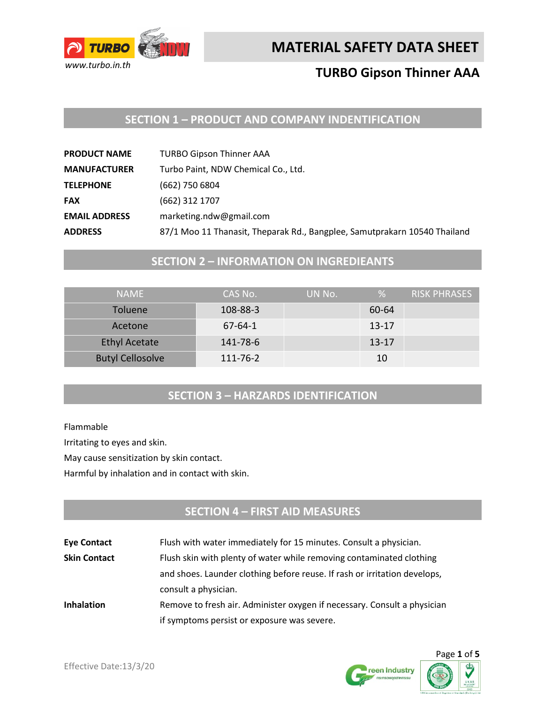

# **TURBO Gipson Thinner AAA**

## **SECTION 1 – PRODUCT AND COMPANY INDENTIFICATION**

| <b>PRODUCT NAME</b>  | <b>TURBO Gipson Thinner AAA</b>                                           |
|----------------------|---------------------------------------------------------------------------|
| <b>MANUFACTURER</b>  | Turbo Paint, NDW Chemical Co., Ltd.                                       |
| <b>TELEPHONE</b>     | (662) 750 6804                                                            |
| <b>FAX</b>           | (662) 312 1707                                                            |
| <b>EMAIL ADDRESS</b> | marketing.ndw@gmail.com                                                   |
| <b>ADDRESS</b>       | 87/1 Moo 11 Thanasit, Theparak Rd., Bangplee, Samutprakarn 10540 Thailand |

## **SECTION 2 – INFORMATION ON INGREDIEANTS**

| <b>NAMF</b>             | CAS No.   | UN No. | %         | RISK PHRASES |
|-------------------------|-----------|--------|-----------|--------------|
| <b>Toluene</b>          | 108-88-3  |        | 60-64     |              |
| Acetone                 | $67-64-1$ |        | $13 - 17$ |              |
| <b>Ethyl Acetate</b>    | 141-78-6  |        | $13 - 17$ |              |
| <b>Butyl Cellosolve</b> | 111-76-2  |        | 10        |              |

## **SECTION 3 – HARZARDS IDENTIFICATION**

Flammable

Irritating to eyes and skin.

May cause sensitization by skin contact.

Harmful by inhalation and in contact with skin.

## **SECTION 4 – FIRST AID MEASURES**

| <b>Eye Contact</b>  | Flush with water immediately for 15 minutes. Consult a physician.         |
|---------------------|---------------------------------------------------------------------------|
| <b>Skin Contact</b> | Flush skin with plenty of water while removing contaminated clothing      |
|                     | and shoes. Launder clothing before reuse. If rash or irritation develops, |
|                     | consult a physician.                                                      |
| <b>Inhalation</b>   | Remove to fresh air. Administer oxygen if necessary. Consult a physician  |
|                     | if symptoms persist or exposure was severe.                               |



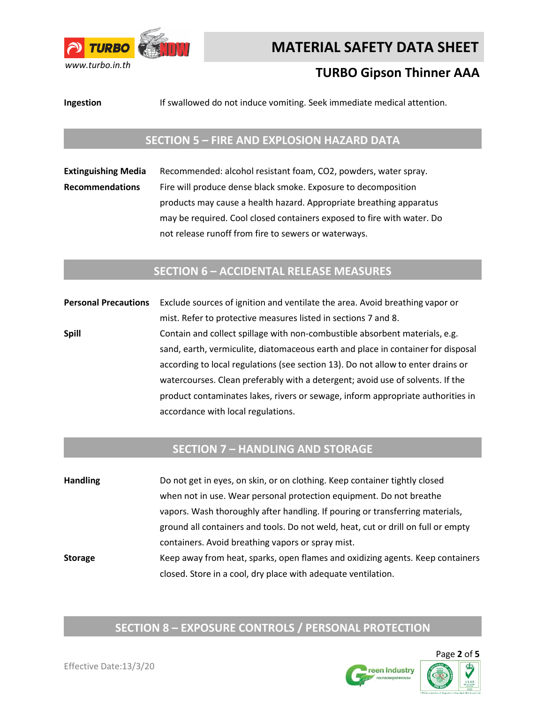

# **TURBO Gipson Thinner AAA**

**Ingestion** If swallowed do not induce vomiting. Seek immediate medical attention.

### **SECTION 5 – FIRE AND EXPLOSION HAZARD DATA**

**Extinguishing Media** Recommended: alcohol resistant foam, CO2, powders, water spray. **Recommendations** Fire will produce dense black smoke. Exposure to decomposition products may cause a health hazard. Appropriate breathing apparatus may be required. Cool closed containers exposed to fire with water. Do not release runoff from fire to sewers or waterways.

### **SECTION 6 – ACCIDENTAL RELEASE MEASURES**

**Personal Precautions** Exclude sources of ignition and ventilate the area. Avoid breathing vapor or mist. Refer to protective measures listed in sections 7 and 8. **Spill Spill** Contain and collect spillage with non-combustible absorbent materials, e.g. sand, earth, vermiculite, diatomaceous earth and place in container for disposal according to local regulations (see section 13). Do not allow to enter drains or watercourses. Clean preferably with a detergent; avoid use of solvents. If the product contaminates lakes, rivers or sewage, inform appropriate authorities in accordance with local regulations.

### **SECTION 7 – HANDLING AND STORAGE**

**Handling** Do not get in eyes, on skin, or on clothing. Keep container tightly closed when not in use. Wear personal protection equipment. Do not breathe vapors. Wash thoroughly after handling. If pouring or transferring materials, ground all containers and tools. Do not weld, heat, cut or drill on full or empty containers. Avoid breathing vapors or spray mist. **Storage** Keep away from heat, sparks, open flames and oxidizing agents. Keep containers closed. Store in a cool, dry place with adequate ventilation.

# **SECTION 8 – EXPOSURE CONTROLS / PERSONAL PROTECTION**

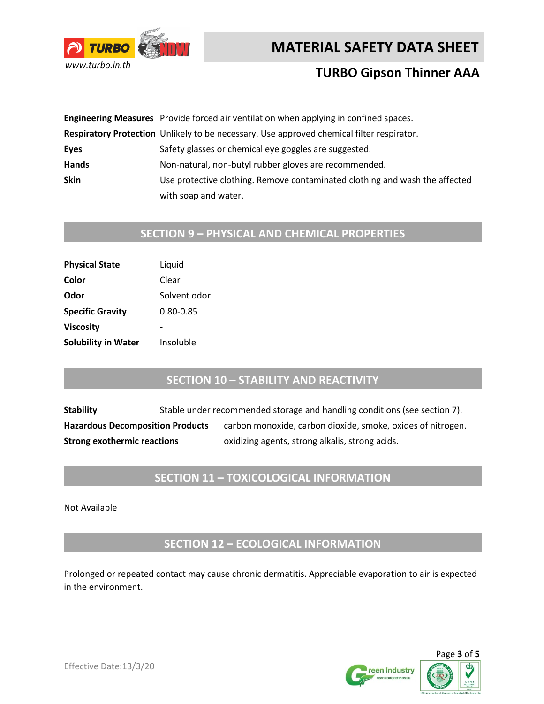



## **TURBO Gipson Thinner AAA**

|              | Engineering Measures Provide forced air ventilation when applying in confined spaces.     |
|--------------|-------------------------------------------------------------------------------------------|
|              | Respiratory Protection Unlikely to be necessary. Use approved chemical filter respirator. |
| Eyes         | Safety glasses or chemical eye goggles are suggested.                                     |
| <b>Hands</b> | Non-natural, non-butyl rubber gloves are recommended.                                     |
| <b>Skin</b>  | Use protective clothing. Remove contaminated clothing and wash the affected               |
|              | with soap and water.                                                                      |

# **SECTION 9 – PHYSICAL AND CHEMICAL PROPERTIES**

| <b>Physical State</b>      | Liquid       |
|----------------------------|--------------|
| Color                      | Clear        |
| Odor                       | Solvent odor |
| <b>Specific Gravity</b>    | 0.80-0.85    |
| <b>Viscosity</b>           |              |
| <b>Solubility in Water</b> | Insoluble    |

## **SECTION 10 – STABILITY AND REACTIVITY**

**Stability** Stable under recommended storage and handling conditions (see section 7). Hazardous Decomposition Products carbon monoxide, carbon dioxide, smoke, oxides of nitrogen. **Strong exothermic reactions** oxidizing agents, strong alkalis, strong acids.

## **SECTION 11 – TOXICOLOGICAL INFORMATION**

Not Available

**SECTION 12 – ECOLOGICAL INFORMATION**

Prolonged or repeated contact may cause chronic dermatitis. Appreciable evaporation to air is expected in the environment.



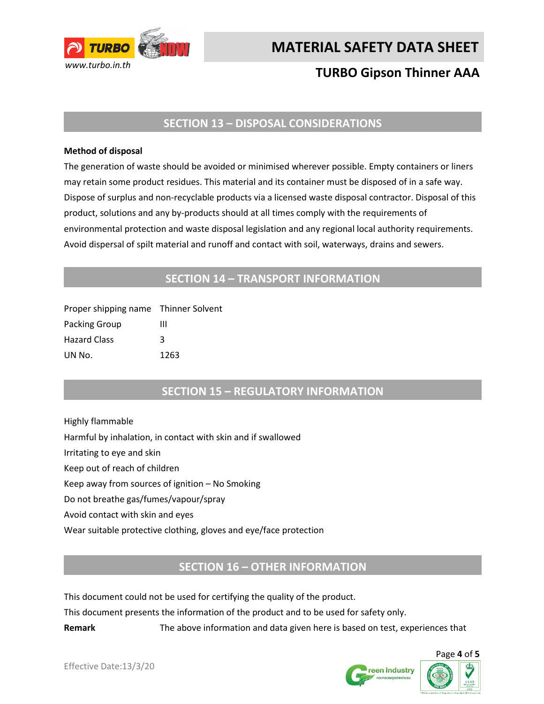

# **TURBO Gipson Thinner AAA**

### **SECTION 13 – DISPOSAL CONSIDERATIONS**

#### **Method of disposal**

The generation of waste should be avoided or minimised wherever possible. Empty containers or liners may retain some product residues. This material and its container must be disposed of in a safe way. Dispose of surplus and non-recyclable products via a licensed waste disposal contractor. Disposal of this product, solutions and any by-products should at all times comply with the requirements of environmental protection and waste disposal legislation and any regional local authority requirements. Avoid dispersal of spilt material and runoff and contact with soil, waterways, drains and sewers.

### **SECTION 14 – TRANSPORT INFORMATION**

| Proper shipping name Thinner Solvent |      |
|--------------------------------------|------|
| Packing Group                        | ш    |
| <b>Hazard Class</b>                  | κ    |
| UN No.                               | 1263 |

### **SECTION 15 – REGULATORY INFORMATION**

Highly flammable Harmful by inhalation, in contact with skin and if swallowed Irritating to eye and skin Keep out of reach of children Keep away from sources of ignition – No Smoking Do not breathe gas/fumes/vapour/spray Avoid contact with skin and eyes Wear suitable protective clothing, gloves and eye/face protection

### **SECTION 16 – OTHER INFORMATION**

This document could not be used for certifying the quality of the product.

This document presents the information of the product and to be used for safety only.

**Remark** The above information and data given here is based on test, experiences that



Page **4** of **5**